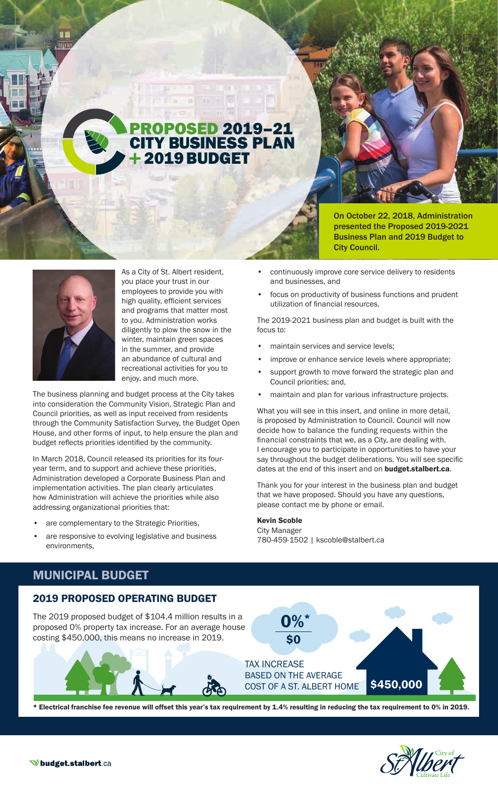# PROPOSED 2019–21 CITY BUSINESS PLAN 2019 BUDGET

The Control of the Control  $F = 100$  m  $m = 100$ 

On October 22, 2018, Administration presented the Proposed 2019-2021 Business Plan and 2019 Budget to City Council.



As a City of St. Albert resident, you place your trust in our employees to provide you with high quality, efficient services and programs that matter most to you. Administration works diligently to plow the snow in the winter, maintain green spaces in the summer, and provide an abundance of cultural and recreational activities for you to enjoy, and much more.

The business planning and budget process at the City takes into consideration the Community Vision, Strategic Plan and Council priorities, as well as input received from residents through the Community Satisfaction Survey, the Budget Open House, and other forms of input, to help ensure the plan and budget reflects priorities identified by the community.

In March 2018, Council released its priorities for its fouryear term, and to support and achieve these priorities, Administration developed a Corporate Business Plan and implementation activities. The plan clearly articulates how Administration will achieve the priorities while also addressing organizational priorities that:

- are complementary to the Strategic Priorities,
- are responsive to evolving legislative and business environments,
- continuously improve core service delivery to residents and businesses, and
- focus on productivity of business functions and prudent utilization of financial resources.

The 2019-2021 business plan and budget is built with the focus to:

- maintain services and service levels;
- improve or enhance service levels where appropriate;
- support growth to move forward the strategic plan and Council priorities; and,
- maintain and plan for various infrastructure projects.

What you will see in this insert, and online in more detail, is proposed by Administration to Council. Council will now decide how to balance the funding requests within the financial constraints that we, as a City, are dealing with. I encourage you to participate in opportunities to have your say throughout the budget deliberations. You will see specific dates at the end of this insert and on **budget.stalbert.ca**.

Thank you for your interest in the business plan and budget that we have proposed. Should you have any questions, please contact me by phone or email.

#### Kevin Scoble

City Manager 780-459-1502 | kscoble@stalbert.ca

# MUNICIPAL BUDGET

### 2019 PROPOSED OPERATING BUDGET

The 2019 proposed budget of \$104.4 million results in a proposed 0% property tax increase. For an average house costing \$450,000, this means no increase in 2019.



TAX INCREASE BASED ON THE AVERAGE COST OF A ST. ALBERT HOME \$450,000

0%\*

\$0



\* Electrical franchise fee revenue will offset this year's tax requirement by 1.4% resulting in reducing the tax requirement to 0% in 2019.

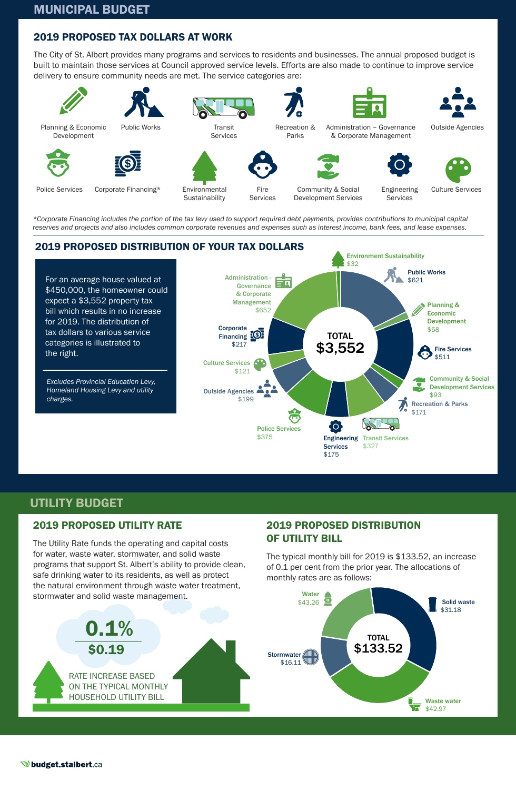# 2019 PROPOSED TAX DOLLARS AT WORK

The City of St. Albert provides many programs and services to residents and businesses. The annual proposed budget is built to maintain those services at Council approved service levels. Efforts are also made to continue to improve service delivery to ensure community needs are met. The service categories are:



*\*Corporate Financing includes the portion of the tax levy used to support required debt payments, provides contributions to municipal capital reserves and projects and also includes common corporate revenues and expenses such as interest income, bank fees, and lease expenses.*



# UTILITY BUDGET

# 2019 PROPOSED UTILITY RATE

The Utility Rate funds the operating and capital costs for water, waste water, stormwater, and solid waste programs that support St. Albert's ability to provide clean, safe drinking water to its residents, as well as protect the natural environment through waste water treatment,

# 2019 PROPOSED DISTRIBUTION OF UTILITY BILL

The typical monthly bill for 2019 is \$133.52, an increase of 0.1 per cent from the prior year. The allocations of monthly rates are as follows:

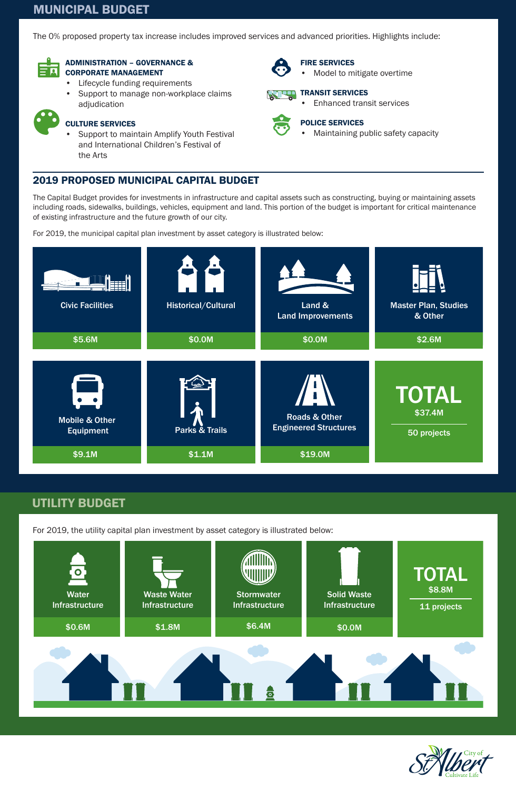# MUNICIPAL BUDGET

The 0% proposed property tax increase includes improved services and advanced priorities. Highlights include:

FIRE SERVICES

TRANSIT SERVICES

POLICE SERVICES

• Model to mitigate overtime

• Enhanced transit services

• Maintaining public safety capacity



#### ADMINISTRATION – GOVERNANCE & CORPORATE MANAGEMENT

- Lifecycle funding requirements
- Support to manage non-workplace claims adjudication



# CULTURE SERVICES

• Support to maintain Amplify Youth Festival and International Children's Festival of the Arts

### 2019 PROPOSED MUNICIPAL CAPITAL BUDGET

The Capital Budget provides for investments in infrastructure and capital assets such as constructing, buying or maintaining assets including roads, sidewalks, buildings, vehicles, equipment and land. This portion of the budget is important for critical maintenance of existing infrastructure and the future growth of our city.

For 2019, the municipal capital plan investment by asset category is illustrated below:



# UTILITY BUDGET

For 2019, the utility capital plan investment by asset category is illustrated below: